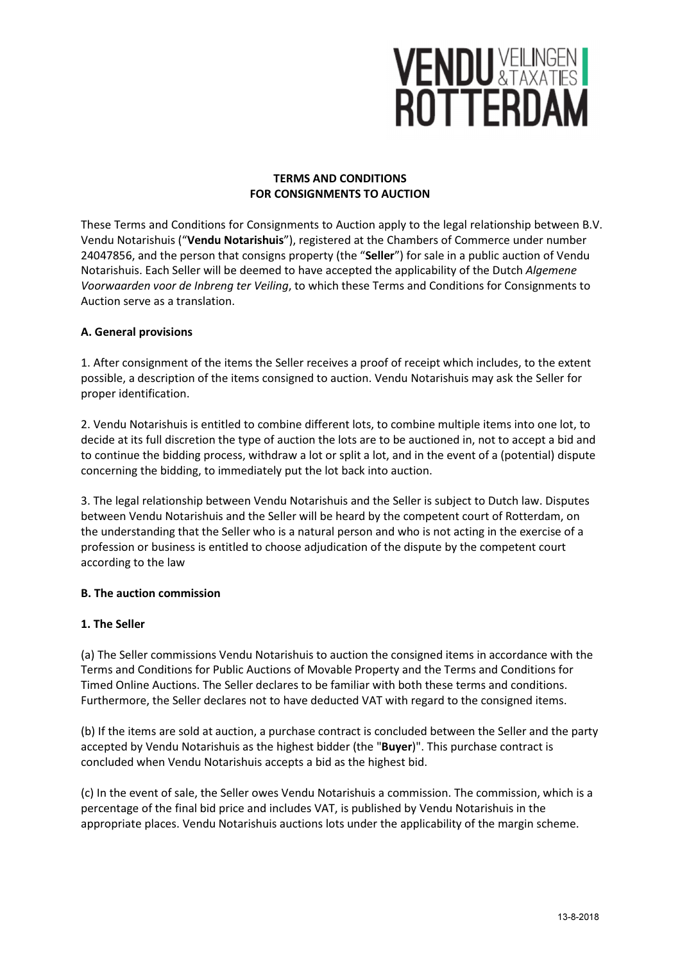# **VENDU VEILINGEN I**<br>ROTTERDAM

## TERMS AND CONDITIONS FOR CONSIGNMENTS TO AUCTION

These Terms and Conditions for Consignments to Auction apply to the legal relationship between B.V. Vendu Notarishuis ("Vendu Notarishuis"), registered at the Chambers of Commerce under number 24047856, and the person that consigns property (the "Seller") for sale in a public auction of Vendu Notarishuis. Each Seller will be deemed to have accepted the applicability of the Dutch Algemene Voorwaarden voor de Inbreng ter Veiling, to which these Terms and Conditions for Consignments to Auction serve as a translation.

## A. General provisions

1. After consignment of the items the Seller receives a proof of receipt which includes, to the extent possible, a description of the items consigned to auction. Vendu Notarishuis may ask the Seller for proper identification.

2. Vendu Notarishuis is entitled to combine different lots, to combine multiple items into one lot, to decide at its full discretion the type of auction the lots are to be auctioned in, not to accept a bid and to continue the bidding process, withdraw a lot or split a lot, and in the event of a (potential) dispute concerning the bidding, to immediately put the lot back into auction.

3. The legal relationship between Vendu Notarishuis and the Seller is subject to Dutch law. Disputes between Vendu Notarishuis and the Seller will be heard by the competent court of Rotterdam, on the understanding that the Seller who is a natural person and who is not acting in the exercise of a profession or business is entitled to choose adjudication of the dispute by the competent court according to the law

#### B. The auction commission

## 1. The Seller

(a) The Seller commissions Vendu Notarishuis to auction the consigned items in accordance with the Terms and Conditions for Public Auctions of Movable Property and the Terms and Conditions for Timed Online Auctions. The Seller declares to be familiar with both these terms and conditions. Furthermore, the Seller declares not to have deducted VAT with regard to the consigned items.

(b) If the items are sold at auction, a purchase contract is concluded between the Seller and the party accepted by Vendu Notarishuis as the highest bidder (the "Buyer)". This purchase contract is concluded when Vendu Notarishuis accepts a bid as the highest bid.

(c) In the event of sale, the Seller owes Vendu Notarishuis a commission. The commission, which is a percentage of the final bid price and includes VAT, is published by Vendu Notarishuis in the appropriate places. Vendu Notarishuis auctions lots under the applicability of the margin scheme.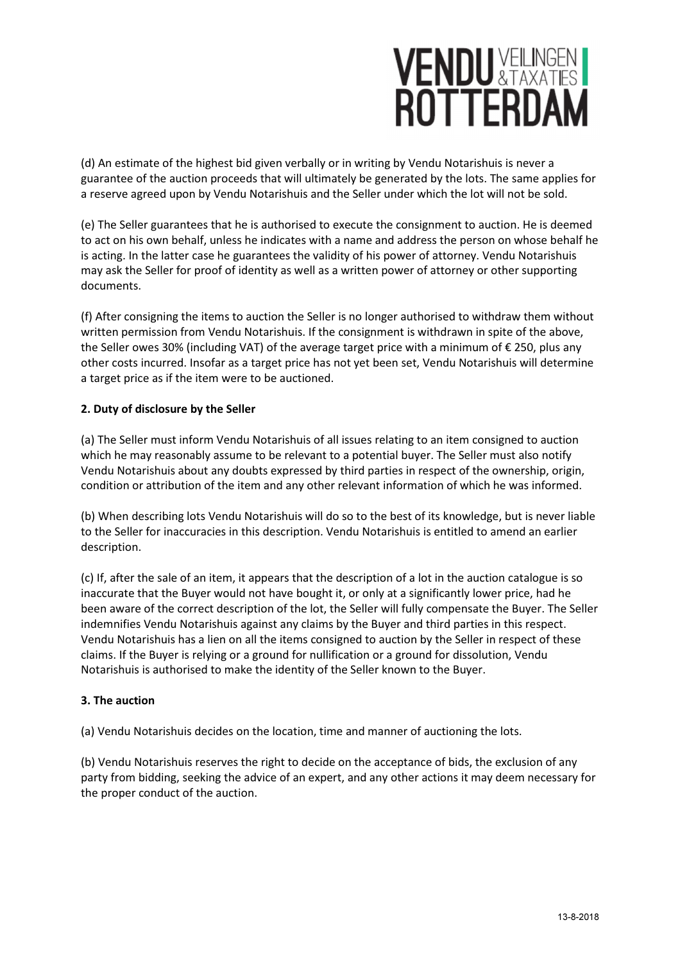# **VENDU VELLINGEN I**<br>ROTTERDAM

(d) An estimate of the highest bid given verbally or in writing by Vendu Notarishuis is never a guarantee of the auction proceeds that will ultimately be generated by the lots. The same applies for a reserve agreed upon by Vendu Notarishuis and the Seller under which the lot will not be sold.

(e) The Seller guarantees that he is authorised to execute the consignment to auction. He is deemed to act on his own behalf, unless he indicates with a name and address the person on whose behalf he is acting. In the latter case he guarantees the validity of his power of attorney. Vendu Notarishuis may ask the Seller for proof of identity as well as a written power of attorney or other supporting documents.

(f) After consigning the items to auction the Seller is no longer authorised to withdraw them without written permission from Vendu Notarishuis. If the consignment is withdrawn in spite of the above, the Seller owes 30% (including VAT) of the average target price with a minimum of € 250, plus any other costs incurred. Insofar as a target price has not yet been set, Vendu Notarishuis will determine a target price as if the item were to be auctioned.

## 2. Duty of disclosure by the Seller

(a) The Seller must inform Vendu Notarishuis of all issues relating to an item consigned to auction which he may reasonably assume to be relevant to a potential buyer. The Seller must also notify Vendu Notarishuis about any doubts expressed by third parties in respect of the ownership, origin, condition or attribution of the item and any other relevant information of which he was informed.

(b) When describing lots Vendu Notarishuis will do so to the best of its knowledge, but is never liable to the Seller for inaccuracies in this description. Vendu Notarishuis is entitled to amend an earlier description.

(c) If, after the sale of an item, it appears that the description of a lot in the auction catalogue is so inaccurate that the Buyer would not have bought it, or only at a significantly lower price, had he been aware of the correct description of the lot, the Seller will fully compensate the Buyer. The Seller indemnifies Vendu Notarishuis against any claims by the Buyer and third parties in this respect. Vendu Notarishuis has a lien on all the items consigned to auction by the Seller in respect of these claims. If the Buyer is relying or a ground for nullification or a ground for dissolution, Vendu Notarishuis is authorised to make the identity of the Seller known to the Buyer.

## 3. The auction

(a) Vendu Notarishuis decides on the location, time and manner of auctioning the lots.

(b) Vendu Notarishuis reserves the right to decide on the acceptance of bids, the exclusion of any party from bidding, seeking the advice of an expert, and any other actions it may deem necessary for the proper conduct of the auction.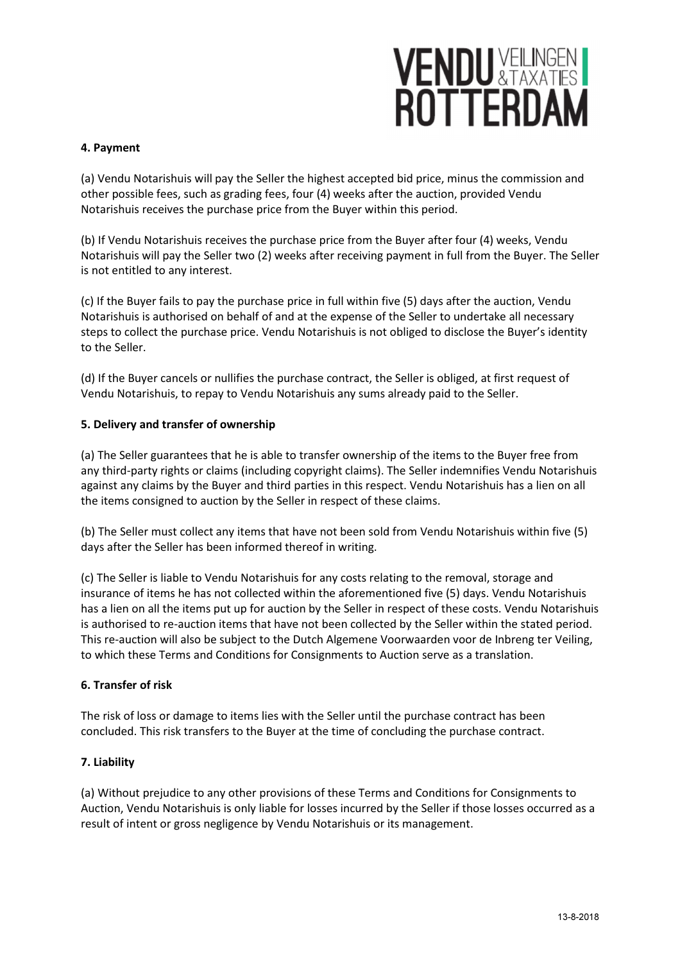## **VENDU VEILINGEN**

#### 4. Payment

(a) Vendu Notarishuis will pay the Seller the highest accepted bid price, minus the commission and other possible fees, such as grading fees, four (4) weeks after the auction, provided Vendu Notarishuis receives the purchase price from the Buyer within this period.

(b) If Vendu Notarishuis receives the purchase price from the Buyer after four (4) weeks, Vendu Notarishuis will pay the Seller two (2) weeks after receiving payment in full from the Buyer. The Seller is not entitled to any interest.

(c) If the Buyer fails to pay the purchase price in full within five (5) days after the auction, Vendu Notarishuis is authorised on behalf of and at the expense of the Seller to undertake all necessary steps to collect the purchase price. Vendu Notarishuis is not obliged to disclose the Buyer's identity to the Seller.

(d) If the Buyer cancels or nullifies the purchase contract, the Seller is obliged, at first request of Vendu Notarishuis, to repay to Vendu Notarishuis any sums already paid to the Seller.

## 5. Delivery and transfer of ownership

(a) The Seller guarantees that he is able to transfer ownership of the items to the Buyer free from any third-party rights or claims (including copyright claims). The Seller indemnifies Vendu Notarishuis against any claims by the Buyer and third parties in this respect. Vendu Notarishuis has a lien on all the items consigned to auction by the Seller in respect of these claims.

(b) The Seller must collect any items that have not been sold from Vendu Notarishuis within five (5) days after the Seller has been informed thereof in writing.

(c) The Seller is liable to Vendu Notarishuis for any costs relating to the removal, storage and insurance of items he has not collected within the aforementioned five (5) days. Vendu Notarishuis has a lien on all the items put up for auction by the Seller in respect of these costs. Vendu Notarishuis is authorised to re-auction items that have not been collected by the Seller within the stated period. This re-auction will also be subject to the Dutch Algemene Voorwaarden voor de Inbreng ter Veiling, to which these Terms and Conditions for Consignments to Auction serve as a translation.

#### 6. Transfer of risk

The risk of loss or damage to items lies with the Seller until the purchase contract has been concluded. This risk transfers to the Buyer at the time of concluding the purchase contract.

#### 7. Liability

(a) Without prejudice to any other provisions of these Terms and Conditions for Consignments to Auction, Vendu Notarishuis is only liable for losses incurred by the Seller if those losses occurred as a result of intent or gross negligence by Vendu Notarishuis or its management.